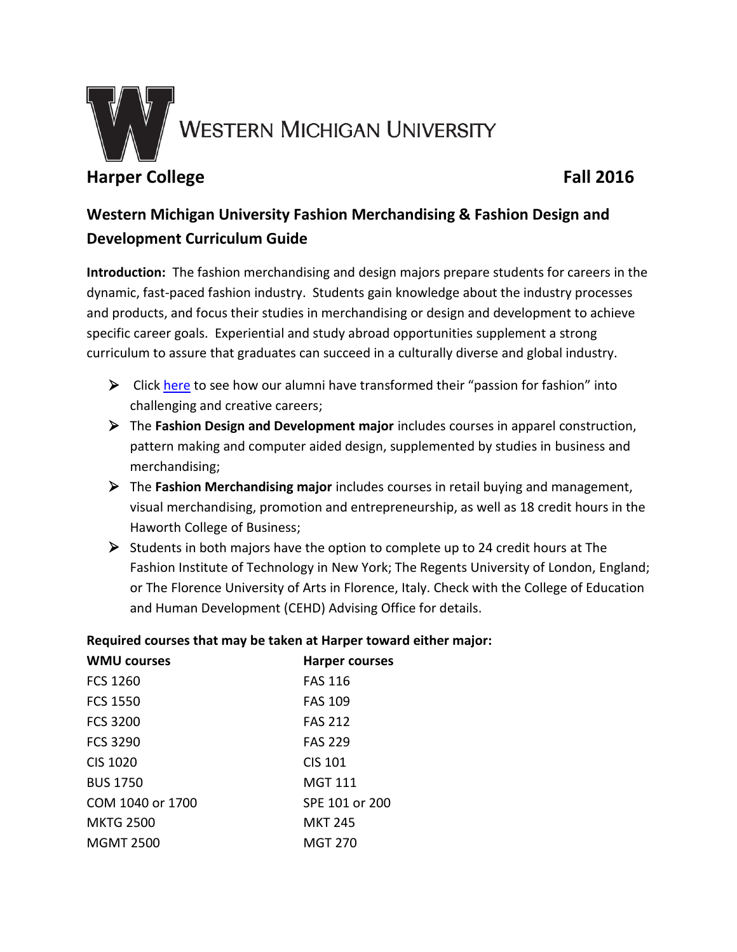

# **Harper College Fall 2016**

# **Western Michigan University Fashion Merchandising & Fashion Design and Development Curriculum Guide**

**Introduction:** The fashion merchandising and design majors prepare students for careers in the dynamic, fast-paced fashion industry. Students gain knowledge about the industry processes and products, and focus their studies in merchandising or design and development to achieve specific career goals. Experiential and study abroad opportunities supplement a strong curriculum to assure that graduates can succeed in a culturally diverse and global industry.

- $\triangleright$  Click [here](http://www.wmich.edu/familyconsumer/fmdalumni) to see how our alumni have transformed their "passion for fashion" into challenging and creative careers;
- The **Fashion Design and Development major** includes courses in apparel construction, pattern making and computer aided design, supplemented by studies in business and merchandising;
- The **Fashion Merchandising major** includes courses in retail buying and management, visual merchandising, promotion and entrepreneurship, as well as 18 credit hours in the Haworth College of Business;
- $\triangleright$  Students in both majors have the option to complete up to 24 credit hours at The Fashion Institute of Technology in New York; The Regents University of London, England; or The Florence University of Arts in Florence, Italy. Check with the College of Education and Human Development (CEHD) Advising Office for details.

# **WMU courses Harper courses** FCS 1260 FAS 116 FCS 1550 FAS 109 FCS 3200 FAS 212 FCS 3290 FAS 229 CIS 1020 CIS 101 BUS 1750 MGT 111 COM 1040 or 1700 SPE 101 or 200 MKTG 2500 MKT 245 MGMT 2500 MGT 270

# **Required courses that may be taken at Harper toward either major:**